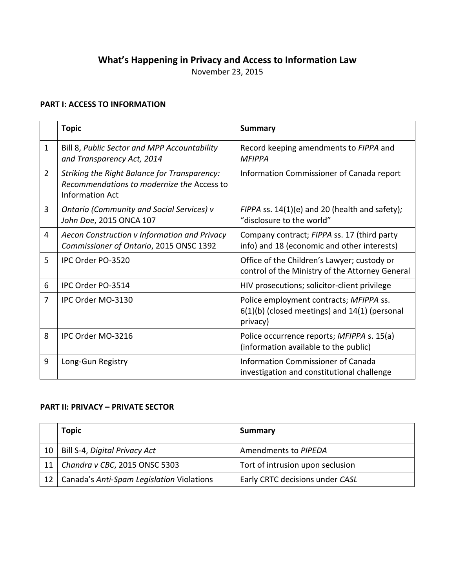# **What's Happening in Privacy and Access to Information Law**

November 23, 2015

## **PART I: ACCESS TO INFORMATION**

|                | <b>Topic</b>                                                                                                  | <b>Summary</b>                                                                                           |
|----------------|---------------------------------------------------------------------------------------------------------------|----------------------------------------------------------------------------------------------------------|
| $\mathbf{1}$   | Bill 8, Public Sector and MPP Accountability<br>and Transparency Act, 2014                                    | Record keeping amendments to FIPPA and<br><b>MFIPPA</b>                                                  |
| $\overline{2}$ | Striking the Right Balance for Transparency:<br>Recommendations to modernize the Access to<br>Information Act | Information Commissioner of Canada report                                                                |
| 3              | <b>Ontario (Community and Social Services) v</b><br>John Doe, 2015 ONCA 107                                   | FIPPA ss. 14(1)(e) and 20 (health and safety);<br>"disclosure to the world"                              |
| 4              | Aecon Construction v Information and Privacy<br>Commissioner of Ontario, 2015 ONSC 1392                       | Company contract; FIPPA ss. 17 (third party<br>info) and 18 (economic and other interests)               |
| 5              | IPC Order PO-3520                                                                                             | Office of the Children's Lawyer; custody or<br>control of the Ministry of the Attorney General           |
| 6              | IPC Order PO-3514                                                                                             | HIV prosecutions; solicitor-client privilege                                                             |
| 7              | IPC Order MO-3130                                                                                             | Police employment contracts; MFIPPA ss.<br>$6(1)(b)$ (closed meetings) and $14(1)$ (personal<br>privacy) |
| 8              | IPC Order MO-3216                                                                                             | Police occurrence reports; MFIPPA s. 15(a)<br>(information available to the public)                      |
| 9              | Long-Gun Registry                                                                                             | Information Commissioner of Canada<br>investigation and constitutional challenge                         |

### **PART II: PRIVACY – PRIVATE SECTOR**

|                 | <b>Topic</b>                              | Summary                          |
|-----------------|-------------------------------------------|----------------------------------|
| 10              | Bill S-4, Digital Privacy Act             | Amendments to PIPEDA             |
| 11              | Chandra v CBC, 2015 ONSC 5303             | Tort of intrusion upon seclusion |
| 12 <sub>1</sub> | Canada's Anti-Spam Legislation Violations | Early CRTC decisions under CASL  |